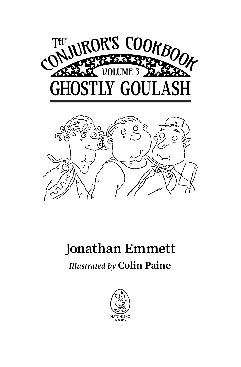



## **Jonathan Emmett**

## *Illustrated by* **Colin Paine**

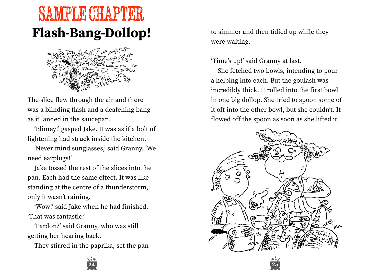## **Flash-Bang-Dollop!** SAMPLE CHAPTER



The slice flew through the air and there was a blinding flash and a deafening bang as it landed in the saucepan.

ʻBlimey!' gasped Jake. It was as if a bolt of lightening had struck inside the kitchen.

ʻNever mind sunglasses,' said Granny. ʻWe need earplugs!'

Jake tossed the rest of the slices into the pan. Each had the same effect. It was like standing at the centre of a thunderstorm, only it wasn't raining.

ʻWow!' said Jake when he had finished. ʻThat was fantastic.'

ʻPardon?' said Granny, who was still getting her hearing back.

They stirred in the paprika, set the pan

to simmer and then tidied up while they were waiting.

ʻTime's up!' said Granny at last.

She fetched two bowls, intending to pour a helping into each. But the goulash was incredibly thick. It rolled into the first bowl in one big dollop. She tried to spoon some of it off into the other bowl, but she couldn't. It flowed off the spoon as soon as she lifted it.



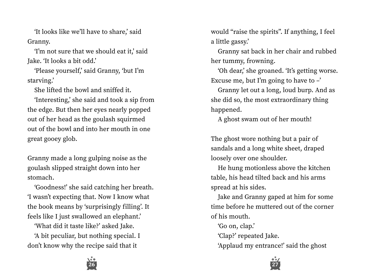ʻIt looks like we'll have to share,' said Granny.

ʻI'm not sure that we should eat it,' said Jake. ʻIt looks a bit odd.'

ʻPlease yourself,' said Granny, ʻbut I'm starving.'

She lifted the bowl and sniffed it.

ʻInteresting,' she said and took a sip from the edge. But then her eyes nearly popped out of her head as the goulash squirmed out of the bowl and into her mouth in one great gooey glob.

Granny made a long gulping noise as the goulash slipped straight down into her stomach.

ʻGoodness!' she said catching her breath. ʻI wasn't expecting that. Now I know what the book means by ʻsurprisingly filling'. It feels like I just swallowed an elephant.'

ʻWhat did it taste like?' asked Jake.

ʻA bit peculiar, but nothing special. I don't know why the recipe said that it

would "raise the spirits". If anything, I feel a little gassy.'

Granny sat back in her chair and rubbed her tummy, frowning.

ʻOh dear,' she groaned. ʻIt's getting worse. Excuse me, but I'm going to have to  $-$ '

Granny let out a long, loud burp. And as she did so, the most extraordinary thing happened.

A ghost swam out of her mouth!

The ghost wore nothing but a pair of sandals and a long white sheet, draped loosely over one shoulder.

He hung motionless above the kitchen table, his head tilted back and his arms spread at his sides.

Jake and Granny gaped at him for some time before he muttered out of the corner of his mouth.

ʻGo on, clap.'

ʻClap?' repeated Jake.

ʻApplaud my entrance!' said the ghost



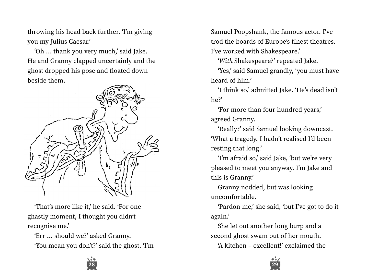throwing his head back further. ʻI'm giving you my Julius Caesar.'

ʻOh … thank you very much,' said Jake. He and Granny clapped uncertainly and the ghost dropped his pose and floated down beside them.



ʻThat's more like it,' he said. ʻFor one ghastly moment, I thought you didn't recognise me.'

ʻErr … should we?' asked Granny. ʻYou mean you don't?' said the ghost. ʻI'm Samuel Poopshank, the famous actor. I've trod the boards of Europe's finest theatres. I've worked with Shakespeare.'

ʻ*With* Shakespeare?' repeated Jake.

ʻYes,' said Samuel grandly, ʻyou must have heard of him.'

ʻI think so,' admitted Jake. ʻHe's dead isn't he?'

ʻFor more than four hundred years,' agreed Granny.

ʻReally?' said Samuel looking downcast. ʻWhat a tragedy. I hadn't realised I'd been resting that long.'

ʻI'm afraid so,' said Jake, ʻbut we're very pleased to meet you anyway. I'm Jake and this is Granny.'

Granny nodded, but was looking uncomfortable.

ʻPardon me,' she said, ʻbut I've got to do it again.'

She let out another long burp and a second ghost swam out of her mouth.

ʻA kitchen – excellent!' exclaimed the